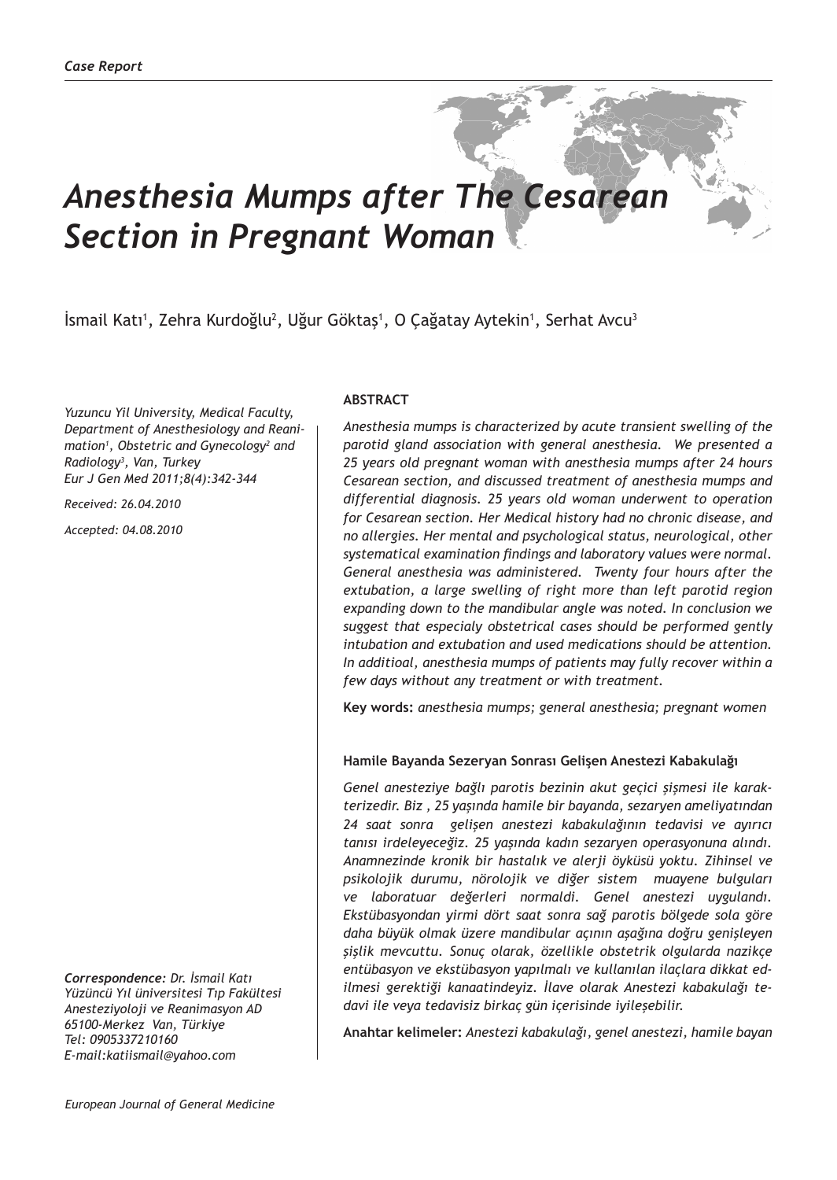# *Anesthesia Mumps after The Cesarean Section in Pregnant Woman*

Ismail Katı<sup>1</sup>, Zehra Kurdoğlu<sup>2</sup>, Uğur Göktaş<sup>ı</sup>, O Çağatay Aytekin<sup>ı</sup>, Serhat Avcu<sup>3</sup>

*Yuzuncu Yil University, Medical Faculty, Department of Anesthesiology and Reanimation1 , Obstetric and Gynecology2 and Radiology3 , Van, Turkey Eur J Gen Med 2011;8(4):342-344*

*Received: 26.04.2010*

*Accepted: 04.08.2010*

*Correspondence: Dr. İsmail Katı Yüzüncü Yıl üniversitesi Tıp Fakültesi Anesteziyoloji ve Reanimasyon AD 65100-Merkez Van, Türkiye Tel: 0905337210160 E-mail:katiismail@yahoo.com*

## **ABSTRACT**

*Anesthesia mumps is characterized by acute transient swelling of the parotid gland association with general anesthesia. We presented a 25 years old pregnant woman with anesthesia mumps after 24 hours Cesarean section, and discussed treatment of anesthesia mumps and differential diagnosis. 25 years old woman underwent to operation for Cesarean section. Her Medical history had no chronic disease, and no allergies. Her mental and psychological status, neurological, other systematical examination findings and laboratory values were normal. General anesthesia was administered. Twenty four hours after the extubation, a large swelling of right more than left parotid region expanding down to the mandibular angle was noted. In conclusion we suggest that especialy obstetrical cases should be performed gently intubation and extubation and used medications should be attention. In additioal, anesthesia mumps of patients may fully recover within a few days without any treatment or with treatment.* 

**Key words:** *anesthesia mumps; general anesthesia; pregnant women*

#### **Hamile Bayanda Sezeryan Sonrası Gelişen Anestezi Kabakulağı**

*Genel anesteziye bağlı parotis bezinin akut geçici şişmesi ile karakterizedir. Biz , 25 yaşında hamile bir bayanda, sezaryen ameliyatından 24 saat sonra gelişen anestezi kabakulağının tedavisi ve ayırıcı tanısı irdeleyeceğiz. 25 yaşında kadın sezaryen operasyonuna alındı. Anamnezinde kronik bir hastalık ve alerji öyküsü yoktu. Zihinsel ve psikolojik durumu, nörolojik ve diğer sistem muayene bulguları ve laboratuar değerleri normaldi. Genel anestezi uygulandı. Ekstübasyondan yirmi dört saat sonra sağ parotis bölgede sola göre daha büyük olmak üzere mandibular açının aşağına doğru genişleyen şişlik mevcuttu. Sonuç olarak, özellikle obstetrik olgularda nazikçe entübasyon ve ekstübasyon yapılmalı ve kullanılan ilaçlara dikkat edilmesi gerektiği kanaatindeyiz. İlave olarak Anestezi kabakulağı tedavi ile veya tedavisiz birkaç gün içerisinde iyileşebilir.*

**Anahtar kelimeler:** *Anestezi kabakulağı, genel anestezi, hamile bayan*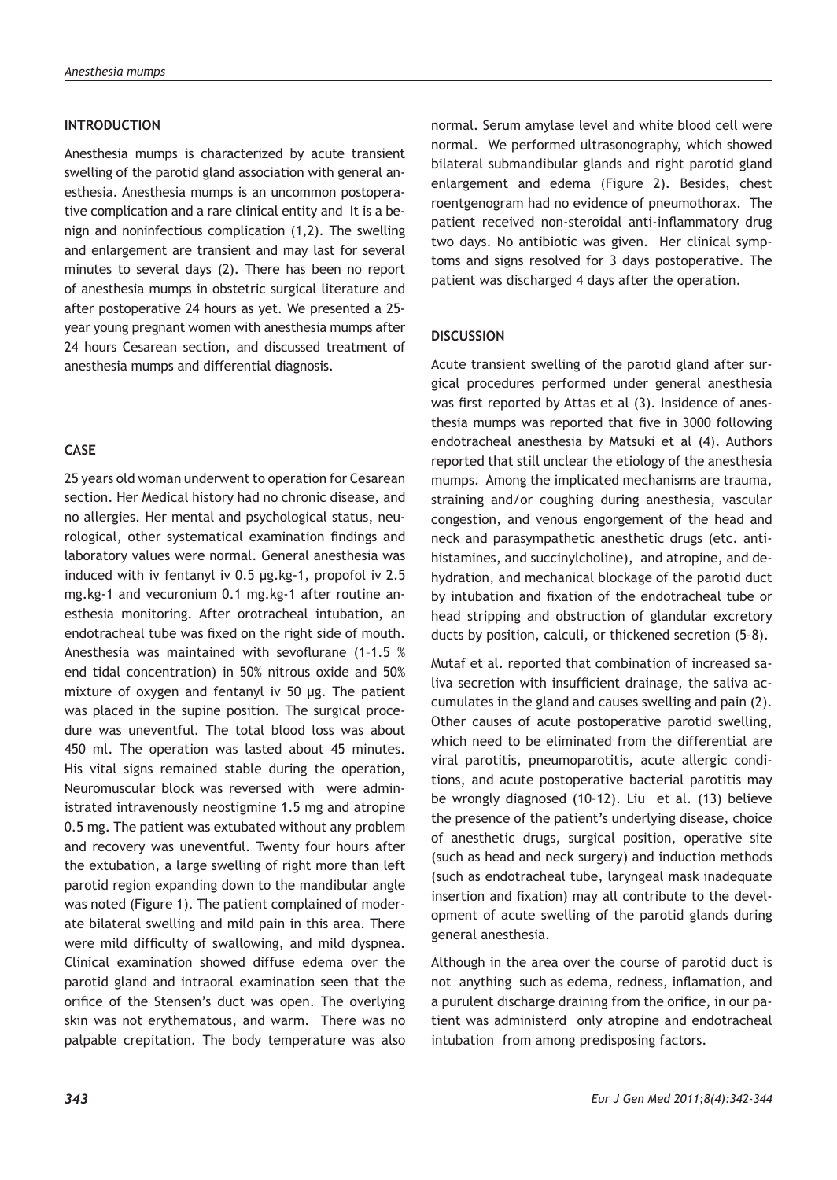#### **INTRODUCTION**

Anesthesia mumps is characterized by acute transient swelling of the parotid gland association with general anesthesia. Anesthesia mumps is an uncommon postoperative complication and a rare clinical entity and It is a benign and noninfectious complication (1,2). The swelling and enlargement are transient and may last for several minutes to several days (2). There has been no report of anesthesia mumps in obstetric surgical literature and after postoperative 24 hours as yet. We presented a 25 year young pregnant women with anesthesia mumps after 24 hours Cesarean section, and discussed treatment of anesthesia mumps and differential diagnosis.

# **CASE**

25 years old woman underwent to operation for Cesarean section. Her Medical history had no chronic disease, and no allergies. Her mental and psychological status, neurological, other systematical examination findings and laboratory values were normal. General anesthesia was induced with iv fentanyl iv 0.5 µg.kg-1, propofol iv 2.5 mg.kg-1 and vecuronium 0.1 mg.kg-1 after routine anesthesia monitoring. After orotracheal intubation, an endotracheal tube was fixed on the right side of mouth. Anesthesia was maintained with sevoflurane (1–1.5 % end tidal concentration) in 50% nitrous oxide and 50% mixture of oxygen and fentanyl iv 50 µg. The patient was placed in the supine position. The surgical procedure was uneventful. The total blood loss was about 450 ml. The operation was lasted about 45 minutes. His vital signs remained stable during the operation, Neuromuscular block was reversed with were administrated intravenously neostigmine 1.5 mg and atropine 0.5 mg. The patient was extubated without any problem and recovery was uneventful. Twenty four hours after the extubation, a large swelling of right more than left parotid region expanding down to the mandibular angle was noted (Figure 1). The patient complained of moderate bilateral swelling and mild pain in this area. There were mild difficulty of swallowing, and mild dyspnea. Clinical examination showed diffuse edema over the parotid gland and intraoral examination seen that the orifice of the Stensen's duct was open. The overlying skin was not erythematous, and warm. There was no palpable crepitation. The body temperature was also

normal. Serum amylase level and white blood cell were normal. We performed ultrasonography, which showed bilateral submandibular glands and right parotid gland enlargement and edema (Figure 2). Besides, chest roentgenogram had no evidence of pneumothorax. The patient received non-steroidal anti-inflammatory drug two days. No antibiotic was given. Her clinical symptoms and signs resolved for 3 days postoperative. The patient was discharged 4 days after the operation.

## **DISCUSSION**

Acute transient swelling of the parotid gland after surgical procedures performed under general anesthesia was first reported by Attas et al (3). Insidence of anesthesia mumps was reported that five in 3000 following endotracheal anesthesia by Matsuki et al (4). Authors reported that still unclear the etiology of the anesthesia mumps. Among the implicated mechanisms are trauma, straining and/or coughing during anesthesia, vascular congestion, and venous engorgement of the head and neck and parasympathetic anesthetic drugs (etc. antihistamines, and succinylcholine), and atropine, and dehydration, and mechanical blockage of the parotid duct by intubation and fixation of the endotracheal tube or head stripping and obstruction of glandular excretory ducts by position, calculi, or thickened secretion (5–8).

Mutaf et al. reported that combination of increased saliva secretion with insufficient drainage, the saliva accumulates in the gland and causes swelling and pain (2). Other causes of acute postoperative parotid swelling, which need to be eliminated from the differential are viral parotitis, pneumoparotitis, acute allergic conditions, and acute postoperative bacterial parotitis may be wrongly diagnosed (10–12). Liu et al. (13) believe the presence of the patient's underlying disease, choice of anesthetic drugs, surgical position, operative site (such as head and neck surgery) and induction methods (such as endotracheal tube, laryngeal mask inadequate insertion and fixation) may all contribute to the development of acute swelling of the parotid glands during general anesthesia.

Although in the area over the course of parotid duct is not anything such as edema, redness, inflamation, and a purulent discharge draining from the orifice, in our patient was administerd only atropine and endotracheal intubation from among predisposing factors.